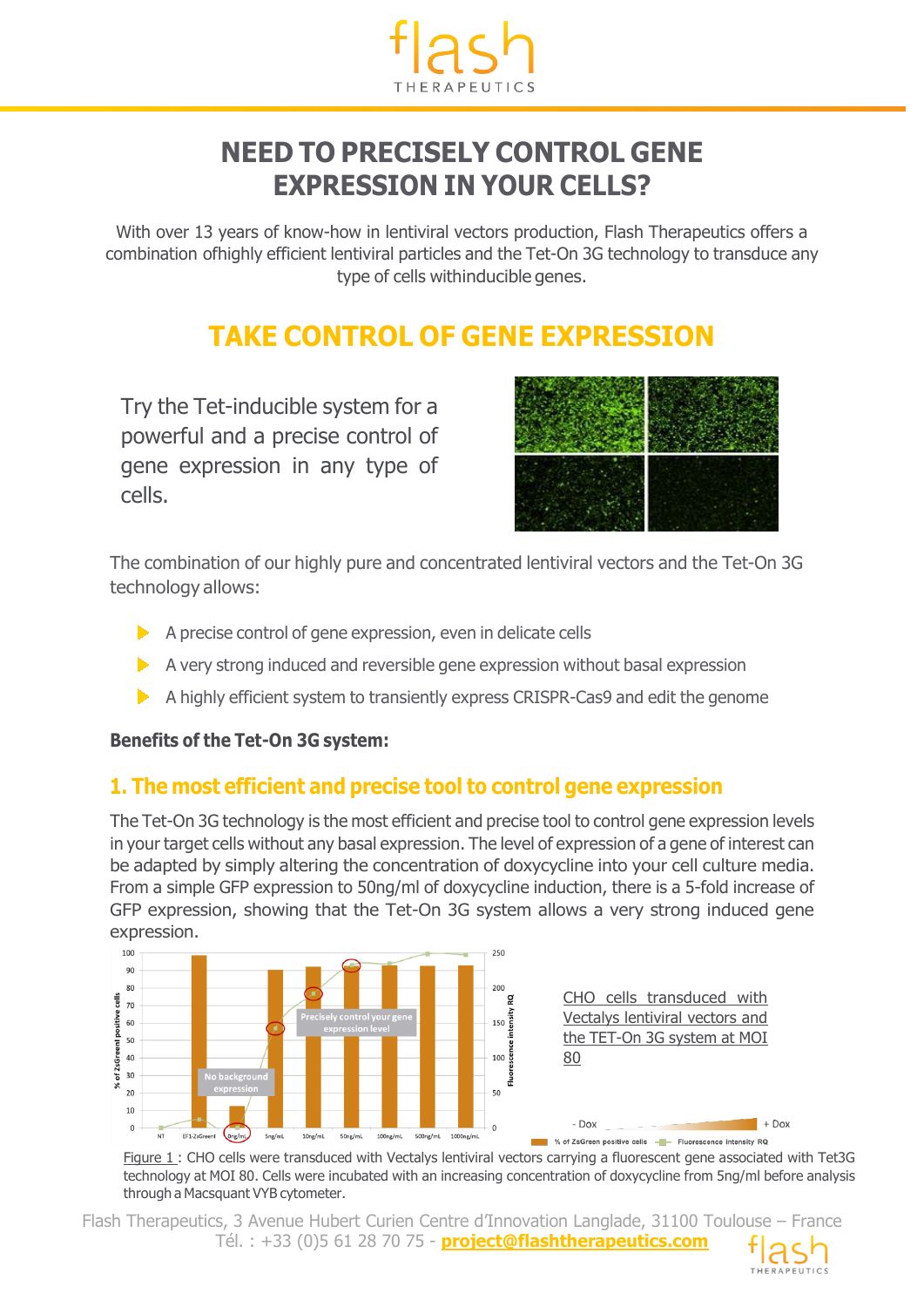

## **NEED TO PRECISELY CONTROL GENE EXPRESSION IN YOUR CELLS?**

With over 13 years of know-how in lentiviral vectors production, Flash Therapeutics offers a combination ofhighly efficient lentiviral particles and the Tet-On 3G technology to transduce any type of cells withinducible genes.

# **TAKE CONTROL OF GENE EXPRESSION**

Try the Tet-inducible system for a powerful and a precise control of gene expression in any type of cells.



The combination of our highly pure and concentrated lentiviral vectors and the Tet-On 3G technology allows:

- $\triangleright$  A precise control of gene expression, even in delicate cells
- A very strong induced and reversible gene expression without basal expression
- A highly efficient system to transiently express CRISPR-Cas9 and edit the genome

#### **Benefits of the Tet-On 3G system:**

### **1. The most efficient and precise tool to control gene expression**

The Tet-On 3G technology is the most efficient and precise tool to control gene expression levels in your target cells without any basal expression. The level of expression of a gene of interest can be adapted by simply altering the concentration of doxycycline into your cell culture media. From a simple GFP expression to 50ng/ml of doxycycline induction, there is a 5-fold increase of GFP expression, showing that the Tet-On 3G system allows a very strong induced gene expression.



Figure 1 : CHO cells were transduced with Vectalys lentiviral vectors carrying a fluorescent gene associated with Tet3G technology at MOI 80. Cells were incubated with an increasing concentration of doxycycline from 5ng/ml before analysis through a Macsquant VYB cytometer.

Flash Therapeutics, 3 Avenue Hubert Curien Centre d'Innovation Langlade, 31100 Toulouse – France Tél. : +33 (0)5 61 28 70 75 - **project@flashtherapeutics.com**